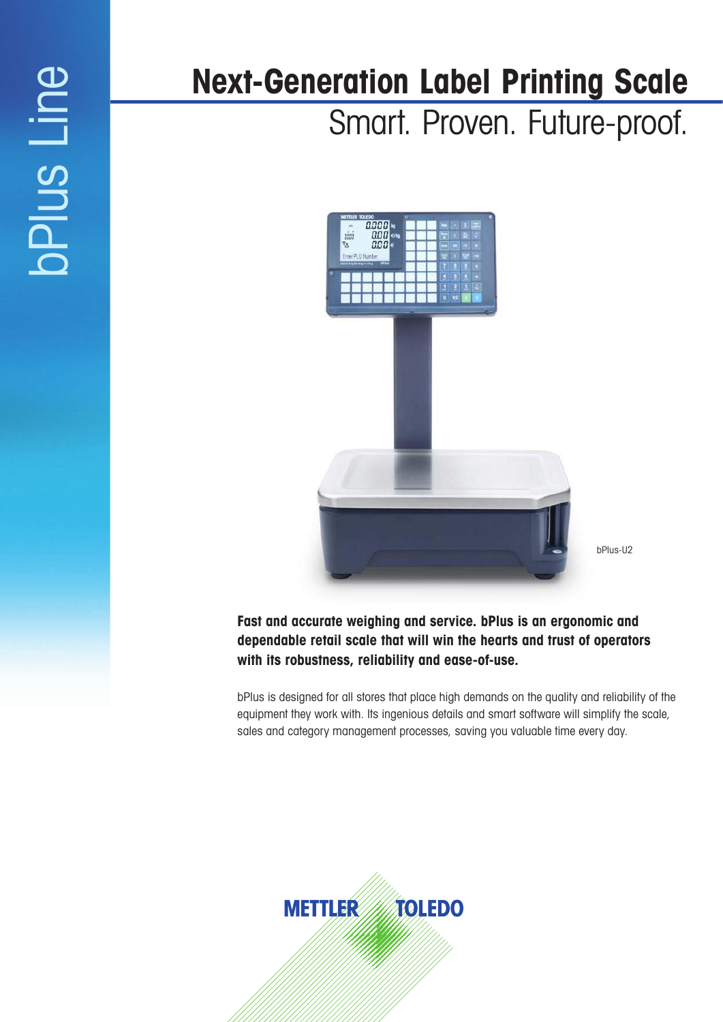# oPlus Line bPlus Line

# **Next-Generation Label Printing Scale**

Smart. Proven. Future-proof.



bPlus-U2

# **Fast and accurate weighing and service. bPlus is an ergonomic and dependable retail scale that will win the hearts and trust of operators with its robustness, reliability and ease-of-use.**

bPlus is designed for all stores that place high demands on the quality and reliability of the equipment they work with. Its ingenious details and smart software will simplify the scale, sales and category management processes, saving you valuable time every day.

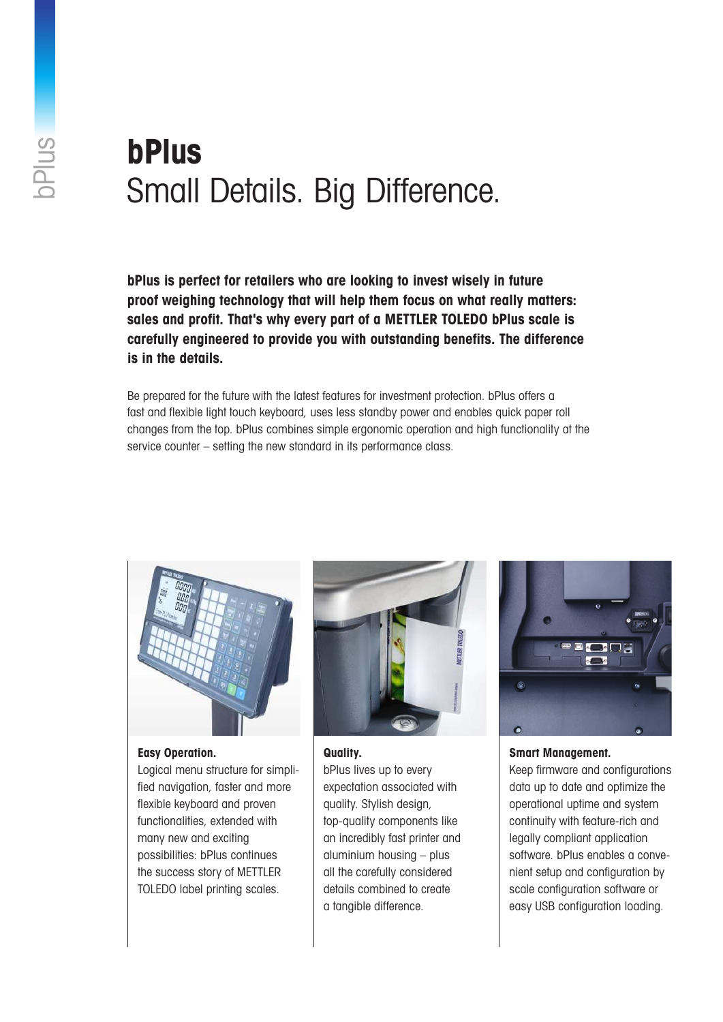# **bPlus**  Small Details. Big Difference.

**bPlus is perfect for retailers who are looking to invest wisely in future proof weighing technology that will help them focus on what really matters: sales and profit. That's why every part of a METTLER TOLEDO bPlus scale is carefully engineered to provide you with outstanding benefits. The difference is in the details.**

Be prepared for the future with the latest features for investment protection. bPlus offers a fast and flexible light touch keyboard, uses less standby power and enables quick paper roll changes from the top. bPlus combines simple ergonomic operation and high functionality at the service counter – setting the new standard in its performance class.



# **Easy Operation.**

Logical menu structure for simplified navigation, faster and more flexible keyboard and proven functionalities, extended with many new and exciting possibilities: bPlus continues the success story of METTLER TOLEDO label printing scales.



**Quality.**

bPlus lives up to every expectation associated with quality. Stylish design, top-quality components like an incredibly fast printer and aluminium housing – plus all the carefully considered details combined to create a tangible difference.



**Smart Management.**

Keep firmware and configurations data up to date and optimize the operational uptime and system continuity with feature-rich and legally compliant application software. bPlus enables a convenient setup and configuration by scale configuration software or easy USB configuration loading.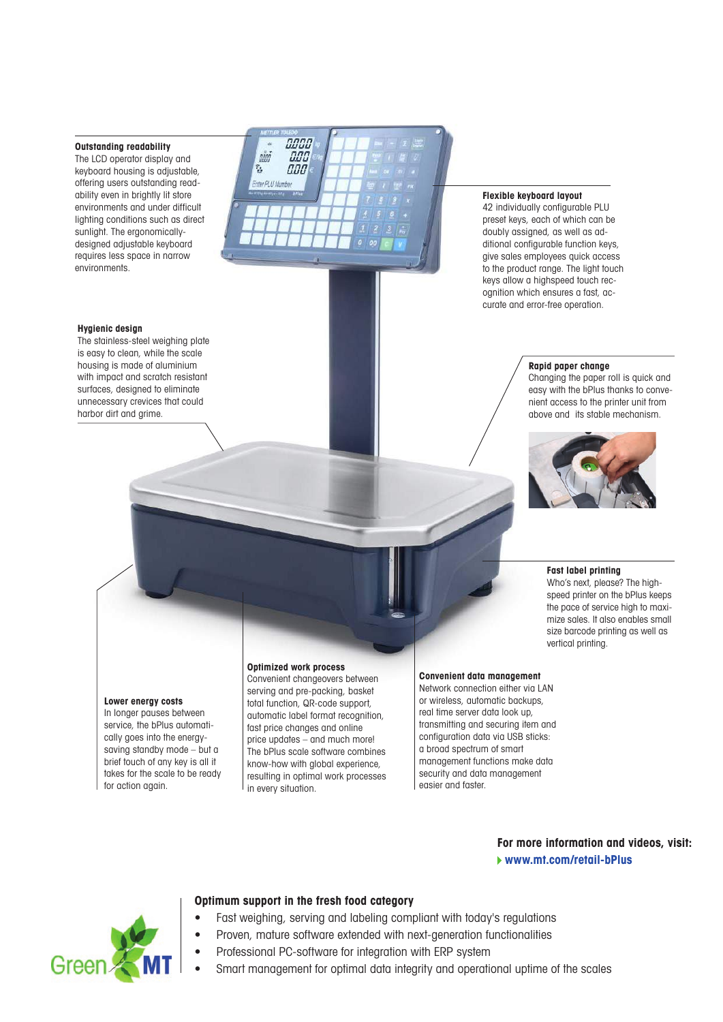# **Outstanding readability**

The LCD operator display and keyboard housing is adjustable, offering users outstanding readability even in brightly lit store environments and under difficult lighting conditions such as direct sunlight. The ergonomicallydesigned adjustable keyboard requires less space in narrow environments.

#### **Hygienic design**

The stainless-steel weighing plate is easy to clean, while the scale housing is made of aluminium with impact and scratch resistant surfaces, designed to eliminate unnecessary crevices that could harbor dirt and grime.



#### **Flexible keyboard layout**

42 individually configurable PLU preset keys, each of which can be doubly assigned, as well as additional configurable function keys, give sales employees quick access to the product range. The light touch keys allow a highspeed touch recognition which ensures a fast, accurate and error-free operation.

## **Rapid paper change**

Changing the paper roll is quick and easy with the bPlus thanks to convenient access to the printer unit from above and its stable mechanism.



# **Fast label printing**

Who's next, please? The highspeed printer on the bPlus keeps the pace of service high to maximize sales. It also enables small size barcode printing as well as vertical printing.

## **Lower energy costs**

In longer pauses between service, the bPlus automatically goes into the energysaving standby mode – but a brief touch of any key is all it takes for the scale to be ready for action again.

# **Optimized work process**

Convenient changeovers between serving and pre-packing, basket total function, QR-code support, automatic label format recognition, fast price changes and online price updates – and much more! The bPlus scale software combines know-how with global experience, resulting in optimal work processes in every situation.

#### **Convenient data management**

Network connection either via LAN or wireless, automatic backups, real time server data look up, transmitting and securing item and configuration data via USB sticks: a broad spectrum of smart management functions make data security and data management easier and faster.

# **For more information and videos, visit: www.mt.com/retail-bPlus**



# **Optimum support in the fresh food category**

- Fast weighing, serving and labeling compliant with today's regulations
- Proven, mature software extended with next-generation functionalities
	- Professional PC-software for integration with ERP system
	- Smart management for optimal data integrity and operational uptime of the scales